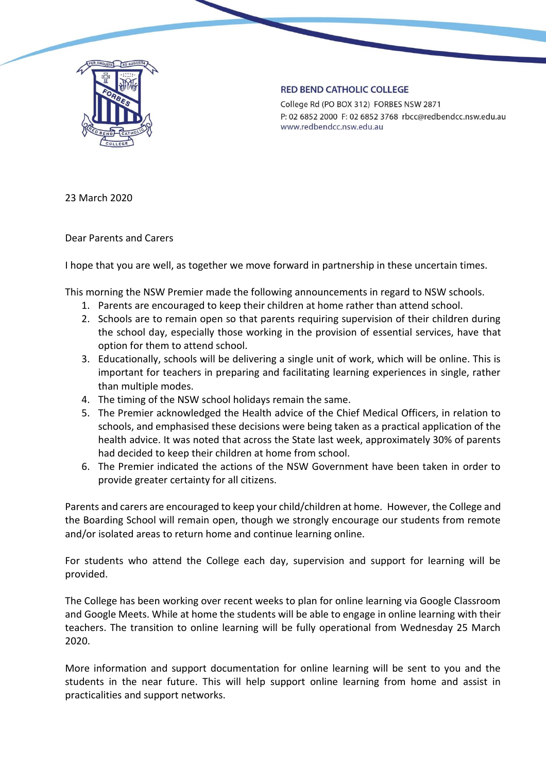

## **RED BEND CATHOLIC COLLEGE**

College Rd (PO BOX 312) FORBES NSW 2871 P: 02 6852 2000 F: 02 6852 3768 rbcc@redbendcc.nsw.edu.au www.redbendcc.nsw.edu.au

23 March 2020

Dear Parents and Carers

I hope that you are well, as together we move forward in partnership in these uncertain times.

This morning the NSW Premier made the following announcements in regard to NSW schools.

- 1. Parents are encouraged to keep their children at home rather than attend school.
- 2. Schools are to remain open so that parents requiring supervision of their children during the school day, especially those working in the provision of essential services, have that option for them to attend school.
- 3. Educationally, schools will be delivering a single unit of work, which will be online. This is important for teachers in preparing and facilitating learning experiences in single, rather than multiple modes.
- 4. The timing of the NSW school holidays remain the same.
- 5. The Premier acknowledged the Health advice of the Chief Medical Officers, in relation to schools, and emphasised these decisions were being taken as a practical application of the health advice. It was noted that across the State last week, approximately 30% of parents had decided to keep their children at home from school.
- 6. The Premier indicated the actions of the NSW Government have been taken in order to provide greater certainty for all citizens.

Parents and carers are encouraged to keep your child/children at home. However, the College and the Boarding School will remain open, though we strongly encourage our students from remote and/or isolated areas to return home and continue learning online.

For students who attend the College each day, supervision and support for learning will be provided.

The College has been working over recent weeks to plan for online learning via Google Classroom and Google Meets. While at home the students will be able to engage in online learning with their teachers. The transition to online learning will be fully operational from Wednesday 25 March 2020.

More information and support documentation for online learning will be sent to you and the students in the near future. This will help support online learning from home and assist in practicalities and support networks.